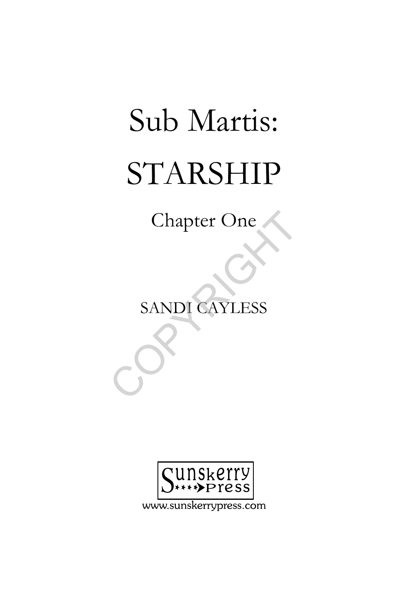## Sub Martis: STARSHIP

Chapter One

SANDI CAYLESS Chapter One<br>SANDI CAYLESS



www.sunskerrypress.com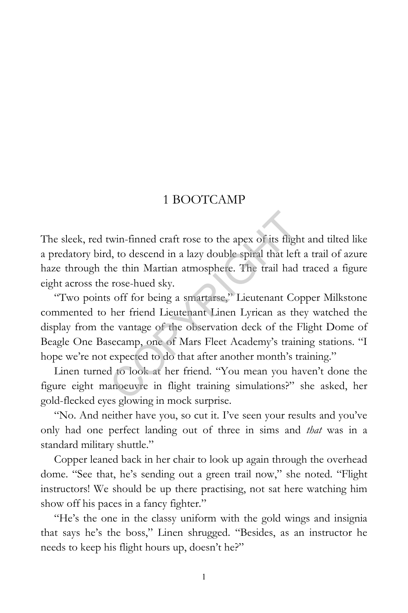## 1 BOOTCAMP

The sleek, red twin-finned craft rose to the apex of its flight and tilted like a predatory bird, to descend in a lazy double spiral that left a trail of azure haze through the thin Martian atmosphere. The trail had traced a figure eight across the rose-hued sky.

"Two points off for being a smartarse," Lieutenant Copper Milkstone commented to her friend Lieutenant Linen Lyrican as they watched the display from the vantage of the observation deck of the Flight Dome of Beagle One Basecamp, one of Mars Fleet Academy's training stations. "I hope we're not expected to do that after another month's training." win-finned craft rose to the apex of its fligh<br>d, to descend in a lazy double spiral that left<br>he thin Martian atmosphere. The trail had<br>rose-hued sky.<br>s off for being a smartarse," Lieutenant Co<br>her friend Lieutenant Line

Linen turned to look at her friend. "You mean you haven't done the figure eight manoeuvre in flight training simulations?" she asked, her gold-flecked eyes glowing in mock surprise.

"No. And neither have you, so cut it. I've seen your results and you've only had one perfect landing out of three in sims and *that* was in a standard military shuttle."

Copper leaned back in her chair to look up again through the overhead dome. "See that, he's sending out a green trail now," she noted. "Flight instructors! We should be up there practising, not sat here watching him show off his paces in a fancy fighter."

"He's the one in the classy uniform with the gold wings and insignia that says he's the boss," Linen shrugged. "Besides, as an instructor he needs to keep his flight hours up, doesn't he?"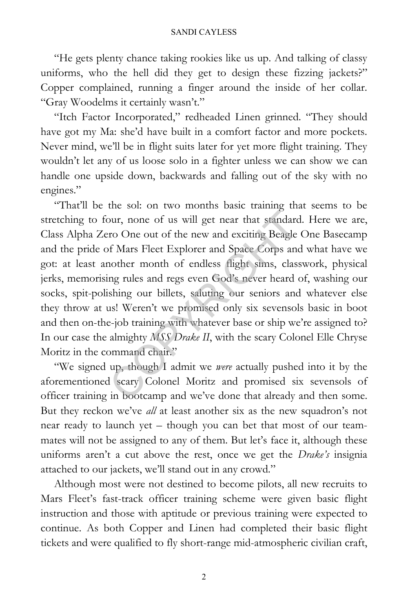"He gets plenty chance taking rookies like us up. And talking of classy uniforms, who the hell did they get to design these fizzing jackets?" Copper complained, running a finger around the inside of her collar. "Gray Woodelms it certainly wasn't."

"Itch Factor Incorporated," redheaded Linen grinned. "They should have got my Ma: she'd have built in a comfort factor and more pockets. Never mind, we'll be in flight suits later for yet more flight training. They wouldn't let any of us loose solo in a fighter unless we can show we can handle one upside down, backwards and falling out of the sky with no engines."

"That'll be the sol: on two months basic training that seems to be stretching to four, none of us will get near that standard. Here we are, Class Alpha Zero One out of the new and exciting Beagle One Basecamp and the pride of Mars Fleet Explorer and Space Corps and what have we got: at least another month of endless flight sims, classwork, physical jerks, memorising rules and regs even God's never heard of, washing our socks, spit-polishing our billets, saluting our seniors and whatever else they throw at us! Weren't we promised only six sevensols basic in boot and then on-the-job training with whatever base or ship we're assigned to? In our case the almighty *MSS Drake II*, with the scary Colonel Elle Chryse Moritz in the command chair." bur, none of us will get near that standard<br>ro One out of the new and exciting Beagle<br>of Mars Fleet Explorer and Space Corps and<br>nother month of endless flight sims, class<br>ng rules and regs even God's never heard<br>of shing

"We signed up, though I admit we *were* actually pushed into it by the aforementioned scary Colonel Moritz and promised six sevensols of officer training in bootcamp and we've done that already and then some. But they reckon we've *all* at least another six as the new squadron's not near ready to launch yet – though you can bet that most of our teammates will not be assigned to any of them. But let's face it, although these uniforms aren't a cut above the rest, once we get the *Drake's* insignia attached to our jackets, we'll stand out in any crowd."

Although most were not destined to become pilots, all new recruits to Mars Fleet's fast-track officer training scheme were given basic flight instruction and those with aptitude or previous training were expected to continue. As both Copper and Linen had completed their basic flight tickets and were qualified to fly short-range mid-atmospheric civilian craft,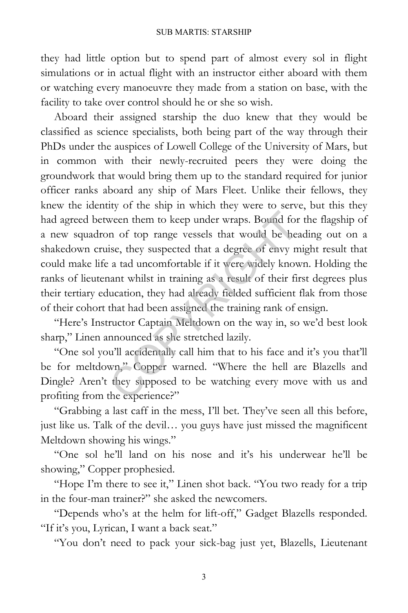they had little option but to spend part of almost every sol in flight simulations or in actual flight with an instructor either aboard with them or watching every manoeuvre they made from a station on base, with the facility to take over control should he or she so wish.

Aboard their assigned starship the duo knew that they would be classified as science specialists, both being part of the way through their PhDs under the auspices of Lowell College of the University of Mars, but in common with their newly-recruited peers they were doing the groundwork that would bring them up to the standard required for junior officer ranks aboard any ship of Mars Fleet. Unlike their fellows, they knew the identity of the ship in which they were to serve, but this they had agreed between them to keep under wraps. Bound for the flagship of a new squadron of top range vessels that would be heading out on a shakedown cruise, they suspected that a degree of envy might result that could make life a tad uncomfortable if it were widely known. Holding the ranks of lieutenant whilst in training as a result of their first degrees plus their tertiary education, they had already fielded sufficient flak from those of their cohort that had been assigned the training rank of ensign. ween them to keep under wraps. Bound for<br>n of top range vessels that would be hea<br>ise, they suspected that a degree of envy m<br>a tad uncomfortable if it were widely know<br>nant whilst in training as a result of their fin<br>ucat

"Here's Instructor Captain Meltdown on the way in, so we'd best look sharp," Linen announced as she stretched lazily.

"One sol you'll accidentally call him that to his face and it's you that'll be for meltdown," Copper warned. "Where the hell are Blazells and Dingle? Aren't they supposed to be watching every move with us and profiting from the experience?"

"Grabbing a last caff in the mess, I'll bet. They've seen all this before, just like us. Talk of the devil… you guys have just missed the magnificent Meltdown showing his wings."

"One sol he'll land on his nose and it's his underwear he'll be showing," Copper prophesied.

"Hope I'm there to see it," Linen shot back. "You two ready for a trip in the four-man trainer?" she asked the newcomers.

"Depends who's at the helm for lift-off," Gadget Blazells responded. "If it's you, Lyrican, I want a back seat."

"You don't need to pack your sick-bag just yet, Blazells, Lieutenant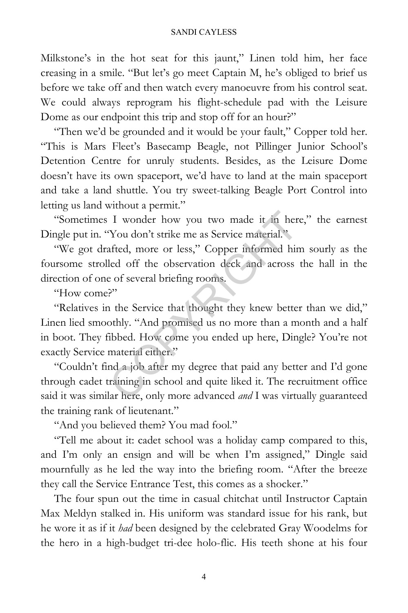Milkstone's in the hot seat for this jaunt," Linen told him, her face creasing in a smile. "But let's go meet Captain M, he's obliged to brief us before we take off and then watch every manoeuvre from his control seat. We could always reprogram his flight-schedule pad with the Leisure Dome as our endpoint this trip and stop off for an hour?"

"Then we'd be grounded and it would be your fault," Copper told her. "This is Mars Fleet's Basecamp Beagle, not Pillinger Junior School's Detention Centre for unruly students. Besides, as the Leisure Dome doesn't have its own spaceport, we'd have to land at the main spaceport and take a land shuttle. You try sweet-talking Beagle Port Control into letting us land without a permit."

"Sometimes I wonder how you two made it in here," the earnest Dingle put in. "You don't strike me as Service material."

"We got drafted, more or less," Copper informed him sourly as the foursome strolled off the observation deck and across the hall in the direction of one of several briefing rooms.

"How come?"

"Relatives in the Service that thought they knew better than we did," Linen lied smoothly. "And promised us no more than a month and a half in boot. They fibbed. How come you ended up here, Dingle? You're not exactly Service material either." I wonder how you two made it in her<br>
You don't strike me as Service material."<br>
afted, more or less," Copper informed hir<br>
led off the observation deck and across<br>
e of several briefing rooms.<br>
P"<br>
i the Service that thoug

"Couldn't find a job after my degree that paid any better and I'd gone through cadet training in school and quite liked it. The recruitment office said it was similar here, only more advanced *and* I was virtually guaranteed the training rank of lieutenant."

"And you believed them? You mad fool."

"Tell me about it: cadet school was a holiday camp compared to this, and I'm only an ensign and will be when I'm assigned," Dingle said mournfully as he led the way into the briefing room. "After the breeze they call the Service Entrance Test, this comes as a shocker."

The four spun out the time in casual chitchat until Instructor Captain Max Meldyn stalked in. His uniform was standard issue for his rank, but he wore it as if it *had* been designed by the celebrated Gray Woodelms for the hero in a high-budget tri-dee holo-flic. His teeth shone at his four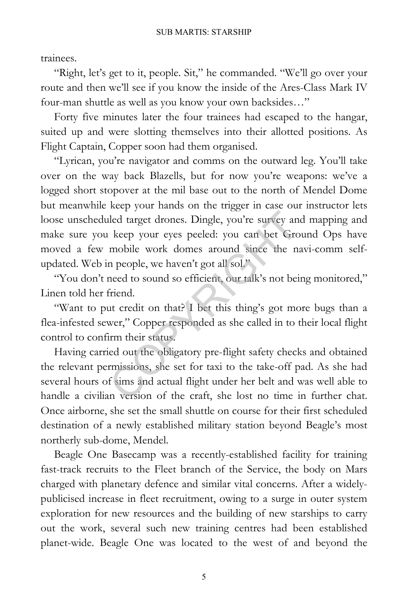trainees.

"Right, let's get to it, people. Sit," he commanded. "We'll go over your route and then we'll see if you know the inside of the Ares-Class Mark IV four-man shuttle as well as you know your own backsides…"

Forty five minutes later the four trainees had escaped to the hangar, suited up and were slotting themselves into their allotted positions. As Flight Captain, Copper soon had them organised.

"Lyrican, you're navigator and comms on the outward leg. You'll take over on the way back Blazells, but for now you're weapons: we've a logged short stopover at the mil base out to the north of Mendel Dome but meanwhile keep your hands on the trigger in case our instructor lets loose unscheduled target drones. Dingle, you're survey and mapping and make sure you keep your eyes peeled: you can bet Ground Ops have moved a few mobile work domes around since the navi-comm selfupdated. Web in people, we haven't got all sol." Led target drones. Dingle, you're survey an<br>keep your eyes peeled: you can bet Grc<br>mobile work domes around since the n<br>n people, we haven't got all sol."<br>meed to sound so efficient, our talk's not bei<br>friend.<br>at credit on

"You don't need to sound so efficient, our talk's not being monitored," Linen told her friend.

"Want to put credit on that? I bet this thing's got more bugs than a flea-infested sewer," Copper responded as she called in to their local flight control to confirm their status.

Having carried out the obligatory pre-flight safety checks and obtained the relevant permissions, she set for taxi to the take-off pad. As she had several hours of sims and actual flight under her belt and was well able to handle a civilian version of the craft, she lost no time in further chat. Once airborne, she set the small shuttle on course for their first scheduled destination of a newly established military station beyond Beagle's most northerly sub-dome, Mendel.

Beagle One Basecamp was a recently-established facility for training fast-track recruits to the Fleet branch of the Service, the body on Mars charged with planetary defence and similar vital concerns. After a widelypublicised increase in fleet recruitment, owing to a surge in outer system exploration for new resources and the building of new starships to carry out the work, several such new training centres had been established planet-wide. Beagle One was located to the west of and beyond the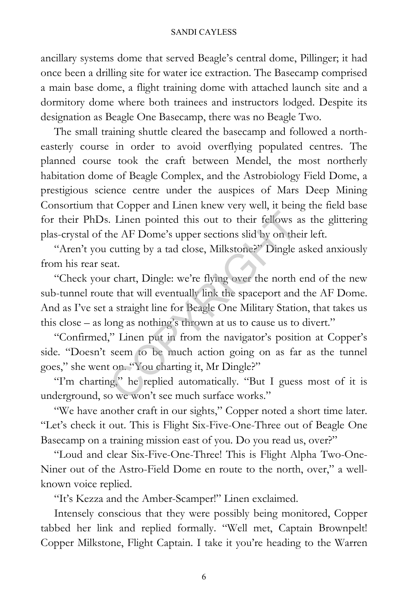## SANDI CAYLESS

ancillary systems dome that served Beagle's central dome, Pillinger; it had once been a drilling site for water ice extraction. The Basecamp comprised a main base dome, a flight training dome with attached launch site and a dormitory dome where both trainees and instructors lodged. Despite its designation as Beagle One Basecamp, there was no Beagle Two.

The small training shuttle cleared the basecamp and followed a northeasterly course in order to avoid overflying populated centres. The planned course took the craft between Mendel, the most northerly habitation dome of Beagle Complex, and the Astrobiology Field Dome, a prestigious science centre under the auspices of Mars Deep Mining Consortium that Copper and Linen knew very well, it being the field base for their PhDs. Linen pointed this out to their fellows as the glittering plas-crystal of the AF Dome's upper sections slid by on their left.

"Aren't you cutting by a tad close, Milkstone?" Dingle asked anxiously from his rear seat.

"Check your chart, Dingle: we're flying over the north end of the new sub-tunnel route that will eventually link the spaceport and the AF Dome. And as I've set a straight line for Beagle One Military Station, that takes us this close – as long as nothing's thrown at us to cause us to divert." Internal pointed this out to their fellows at the AF Dome's upper sections slid by on the cutting by a tad close, Milkstone?" Dingle at that will eventually link the spaceport and a straight line for Beagle One Military St

"Confirmed," Linen put in from the navigator's position at Copper's side. "Doesn't seem to be much action going on as far as the tunnel goes," she went on. "You charting it, Mr Dingle?"

"I'm charting," he replied automatically. "But I guess most of it is underground, so we won't see much surface works."

"We have another craft in our sights," Copper noted a short time later. "Let's check it out. This is Flight Six-Five-One-Three out of Beagle One Basecamp on a training mission east of you. Do you read us, over?"

"Loud and clear Six-Five-One-Three! This is Flight Alpha Two-One-Niner out of the Astro-Field Dome en route to the north, over," a wellknown voice replied.

"It's Kezza and the Amber-Scamper!" Linen exclaimed.

Intensely conscious that they were possibly being monitored, Copper tabbed her link and replied formally. "Well met, Captain Brownpelt! Copper Milkstone, Flight Captain. I take it you're heading to the Warren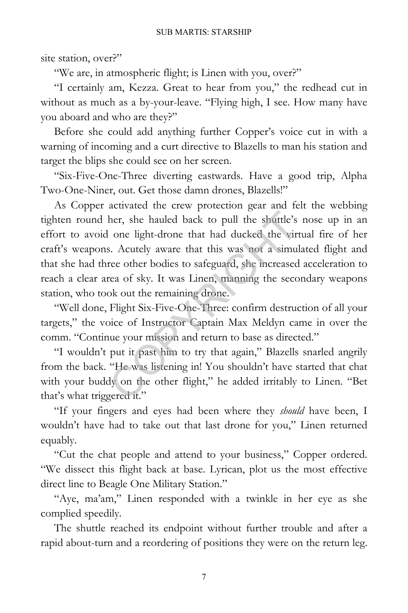site station, over?"

"We are, in atmospheric flight; is Linen with you, over?"

"I certainly am, Kezza. Great to hear from you," the redhead cut in without as much as a by-your-leave. "Flying high, I see. How many have you aboard and who are they?"

Before she could add anything further Copper's voice cut in with a warning of incoming and a curt directive to Blazells to man his station and target the blips she could see on her screen.

"Six-Five-One-Three diverting eastwards. Have a good trip, Alpha Two-One-Niner, out. Get those damn drones, Blazells!"

As Copper activated the crew protection gear and felt the webbing tighten round her, she hauled back to pull the shuttle's nose up in an effort to avoid one light-drone that had ducked the virtual fire of her craft's weapons. Acutely aware that this was not a simulated flight and that she had three other bodies to safeguard, she increased acceleration to reach a clear area of sky. It was Linen, manning the secondary weapons station, who took out the remaining drone. her, she hauled back to pull the shuttle's<br>one light-drone that had ducked the virt<br>is. Acutely aware that this was not a simul<br>ree other bodies to safeguard, she increased<br>rea of sky. It was Linen, manning the seco<br>ok out

"Well done, Flight Six-Five-One-Three: confirm destruction of all your targets," the voice of Instructor Captain Max Meldyn came in over the comm. "Continue your mission and return to base as directed."

"I wouldn't put it past him to try that again," Blazells snarled angrily from the back. "He was listening in! You shouldn't have started that chat with your buddy on the other flight," he added irritably to Linen. "Bet that's what triggered it."

"If your fingers and eyes had been where they *should* have been, I wouldn't have had to take out that last drone for you," Linen returned equably.

"Cut the chat people and attend to your business," Copper ordered. "We dissect this flight back at base. Lyrican, plot us the most effective direct line to Beagle One Military Station."

"Aye, ma'am," Linen responded with a twinkle in her eye as she complied speedily.

The shuttle reached its endpoint without further trouble and after a rapid about-turn and a reordering of positions they were on the return leg.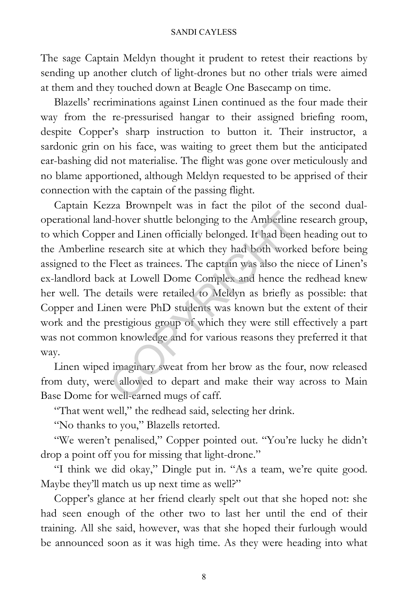The sage Captain Meldyn thought it prudent to retest their reactions by sending up another clutch of light-drones but no other trials were aimed at them and they touched down at Beagle One Basecamp on time.

Blazells' recriminations against Linen continued as the four made their way from the re-pressurised hangar to their assigned briefing room, despite Copper's sharp instruction to button it. Their instructor, a sardonic grin on his face, was waiting to greet them but the anticipated ear-bashing did not materialise. The flight was gone over meticulously and no blame apportioned, although Meldyn requested to be apprised of their connection with the captain of the passing flight.

Captain Kezza Brownpelt was in fact the pilot of the second dualoperational land-hover shuttle belonging to the Amberline research group, to which Copper and Linen officially belonged. It had been heading out to the Amberline research site at which they had both worked before being assigned to the Fleet as trainees. The captain was also the niece of Linen's ex-landlord back at Lowell Dome Complex and hence the redhead knew her well. The details were retailed to Meldyn as briefly as possible: that Copper and Linen were PhD students was known but the extent of their work and the prestigious group of which they were still effectively a part was not common knowledge and for various reasons they preferred it that way. d-hover shuttle belonging to the Amberline<br>er and Linen officially belonged. It had been<br>research site at which they had both works<br>Fleet as trainees. The captain was also the 1<br>k at Lowell Dome Complex and hence the<br>detai

Linen wiped imaginary sweat from her brow as the four, now released from duty, were allowed to depart and make their way across to Main Base Dome for well-earned mugs of caff.

"That went well," the redhead said, selecting her drink.

"No thanks to you," Blazells retorted.

"We weren't penalised," Copper pointed out. "You're lucky he didn't drop a point off you for missing that light-drone."

"I think we did okay," Dingle put in. "As a team, we're quite good. Maybe they'll match us up next time as well?"

Copper's glance at her friend clearly spelt out that she hoped not: she had seen enough of the other two to last her until the end of their training. All she said, however, was that she hoped their furlough would be announced soon as it was high time. As they were heading into what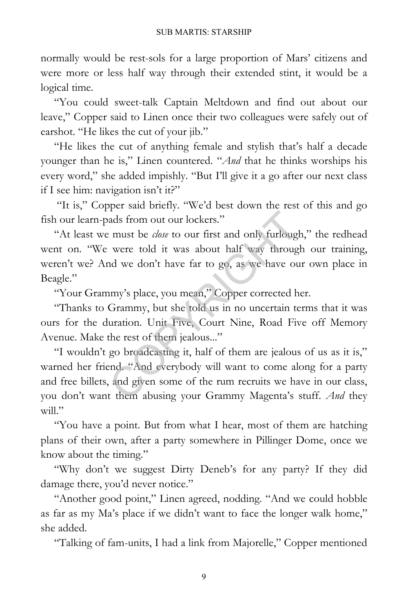normally would be rest-sols for a large proportion of Mars' citizens and were more or less half way through their extended stint, it would be a logical time.

"You could sweet-talk Captain Meltdown and find out about our leave," Copper said to Linen once their two colleagues were safely out of earshot. "He likes the cut of your jib."

"He likes the cut of anything female and stylish that's half a decade younger than he is," Linen countered. "*And* that he thinks worships his every word," she added impishly. "But I'll give it a go after our next class if I see him: navigation isn't it?"

"It is," Copper said briefly. "We'd best down the rest of this and go fish our learn-pads from out our lockers."

"At least we must be *close* to our first and only furlough," the redhead went on. "We were told it was about half way through our training, weren't we? And we don't have far to go, as we have our own place in Beagle."

"Your Grammy's place, you mean," Copper corrected her.

"Thanks to Grammy, but she told us in no uncertain terms that it was ours for the duration. Unit Five, Court Nine, Road Five off Memory Avenue. Make the rest of them jealous..."

"I wouldn't go broadcasting it, half of them are jealous of us as it is," warned her friend. "And everybody will want to come along for a party and free billets, and given some of the rum recruits we have in our class, you don't want them abusing your Grammy Magenta's stuff. *And* they will." ads from out our lockers."<br>
E must be *close* to our first and only furlougl<br>
were told it was about half way throug<br>
nd we don't have far to go, as we have ou<br>
nmy's place, you mean," Copper corrected h<br>
Grammy, but she t

"You have a point. But from what I hear, most of them are hatching plans of their own, after a party somewhere in Pillinger Dome, once we know about the timing."

"Why don't we suggest Dirty Deneb's for any party? If they did damage there, you'd never notice."

"Another good point," Linen agreed, nodding. "And we could hobble as far as my Ma's place if we didn't want to face the longer walk home," she added.

"Talking of fam-units, I had a link from Majorelle," Copper mentioned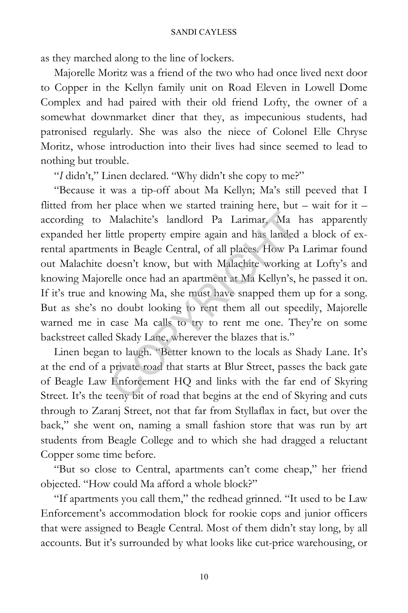as they marched along to the line of lockers.

Majorelle Moritz was a friend of the two who had once lived next door to Copper in the Kellyn family unit on Road Eleven in Lowell Dome Complex and had paired with their old friend Lofty, the owner of a somewhat downmarket diner that they, as impecunious students, had patronised regularly. She was also the niece of Colonel Elle Chryse Moritz, whose introduction into their lives had since seemed to lead to nothing but trouble.

"*I* didn't," Linen declared. "Why didn't she copy to me?"

"Because it was a tip-off about Ma Kellyn; Ma's still peeved that I flitted from her place when we started training here, but – wait for it – according to Malachite's landlord Pa Larimar, Ma has apparently expanded her little property empire again and has landed a block of exrental apartments in Beagle Central, of all places. How Pa Larimar found out Malachite doesn't know, but with Malachite working at Lofty's and knowing Majorelle once had an apartment at Ma Kellyn's, he passed it on. If it's true and knowing Ma, she must have snapped them up for a song. But as she's no doubt looking to rent them all out speedily, Majorelle warned me in case Ma calls to try to rent me one. They're on some backstreet called Skady Lane, wherever the blazes that is." Malachite's landlord Pa Larimar, Ma<br>ittle property empire again and has landed<br>its in Beagle Central, of all places. How Pa<br>doesn't know, but with Malachite working<br>elle once had an apartment at Ma Kellyn's,<br>knowing Ma, sh

Linen began to laugh. "Better known to the locals as Shady Lane. It's at the end of a private road that starts at Blur Street, passes the back gate of Beagle Law Enforcement HQ and links with the far end of Skyring Street. It's the teeny bit of road that begins at the end of Skyring and cuts through to Zaranj Street, not that far from Styllaflax in fact, but over the back," she went on, naming a small fashion store that was run by art students from Beagle College and to which she had dragged a reluctant Copper some time before.

"But so close to Central, apartments can't come cheap," her friend objected. "How could Ma afford a whole block?"

"If apartments you call them," the redhead grinned. "It used to be Law Enforcement's accommodation block for rookie cops and junior officers that were assigned to Beagle Central. Most of them didn't stay long, by all accounts. But it's surrounded by what looks like cut-price warehousing, or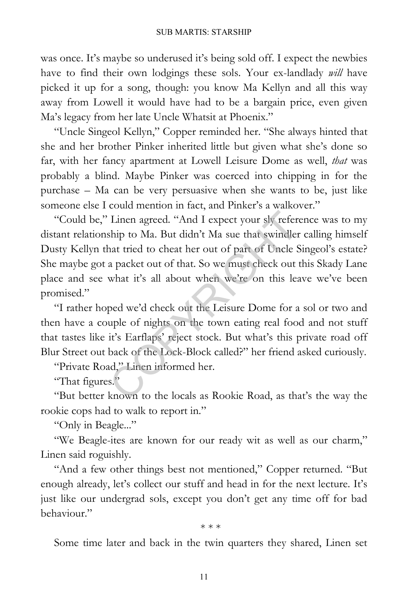was once. It's maybe so underused it's being sold off. I expect the newbies have to find their own lodgings these sols. Your ex-landlady *will* have picked it up for a song, though: you know Ma Kellyn and all this way away from Lowell it would have had to be a bargain price, even given Ma's legacy from her late Uncle Whatsit at Phoenix."

"Uncle Singeol Kellyn," Copper reminded her. "She always hinted that she and her brother Pinker inherited little but given what she's done so far, with her fancy apartment at Lowell Leisure Dome as well, *that* was probably a blind. Maybe Pinker was coerced into chipping in for the purchase – Ma can be very persuasive when she wants to be, just like someone else I could mention in fact, and Pinker's a walkover."

"Could be," Linen agreed. "And I expect your sly reference was to my distant relationship to Ma. But didn't Ma sue that swindler calling himself Dusty Kellyn that tried to cheat her out of part of Uncle Singeol's estate? She maybe got a packet out of that. So we must check out this Skady Lane place and see what it's all about when we're on this leave we've been promised." Linen agreed. "And I expect your sly refership to Ma. But didn't Ma sue that swindler<br>nat tried to cheat her out of part of Uncle S<br>a packet out of that. So we must check out<br>what it's all about when we're on this lea<br>ped

"I rather hoped we'd check out the Leisure Dome for a sol or two and then have a couple of nights on the town eating real food and not stuff that tastes like it's Earflaps' reject stock. But what's this private road off Blur Street out back of the Lock-Block called?" her friend asked curiously.

"Private Road," Linen informed her.

"That figures."

"But better known to the locals as Rookie Road, as that's the way the rookie cops had to walk to report in."

"Only in Beagle..."

"We Beagle-ites are known for our ready wit as well as our charm," Linen said roguishly.

"And a few other things best not mentioned," Copper returned. "But enough already, let's collect our stuff and head in for the next lecture. It's just like our undergrad sols, except you don't get any time off for bad behaviour."

\* \* \*

Some time later and back in the twin quarters they shared, Linen set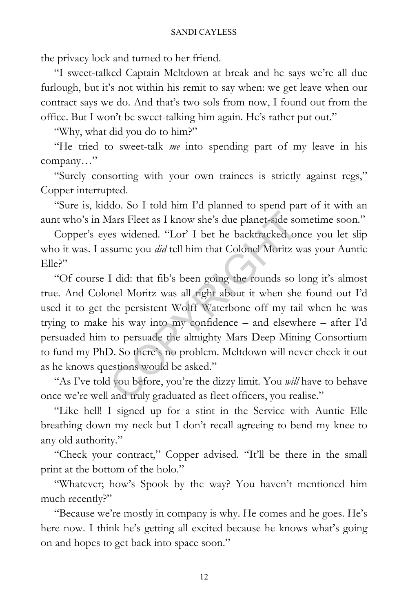the privacy lock and turned to her friend.

"I sweet-talked Captain Meltdown at break and he says we're all due furlough, but it's not within his remit to say when: we get leave when our contract says we do. And that's two sols from now, I found out from the office. But I won't be sweet-talking him again. He's rather put out."

"Why, what did you do to him?"

"He tried to sweet-talk *me* into spending part of my leave in his company…"

"Surely consorting with your own trainees is strictly against regs," Copper interrupted.

"Sure is, kiddo. So I told him I'd planned to spend part of it with an aunt who's in Mars Fleet as I know she's due planet-side sometime soon."

Copper's eyes widened. "Lor' I bet he backtracked once you let slip who it was. I assume you *did* tell him that Colonel Moritz was your Auntie  $EIIe$ ?"

"Of course I did: that fib's been going the rounds so long it's almost true. And Colonel Moritz was all right about it when she found out I'd used it to get the persistent Wolff Waterbone off my tail when he was trying to make his way into my confidence – and elsewhere – after I'd persuaded him to persuade the almighty Mars Deep Mining Consortium to fund my PhD. So there's no problem. Meltdown will never check it out as he knows questions would be asked." The Same Side of the Sacktracked of the Sacktracked of sume you *did* tell him that Colonel Moritz v<br>
I did: that fib's been going the rounds so innel Moritz was all right about it when she<br>
the persistent Wolff Waterbone

"As I've told you before, you're the dizzy limit. You *will* have to behave once we're well and truly graduated as fleet officers, you realise."

"Like hell! I signed up for a stint in the Service with Auntie Elle breathing down my neck but I don't recall agreeing to bend my knee to any old authority."

"Check your contract," Copper advised. "It'll be there in the small print at the bottom of the holo."

"Whatever; how's Spook by the way? You haven't mentioned him much recently?"

"Because we're mostly in company is why. He comes and he goes. He's here now. I think he's getting all excited because he knows what's going on and hopes to get back into space soon."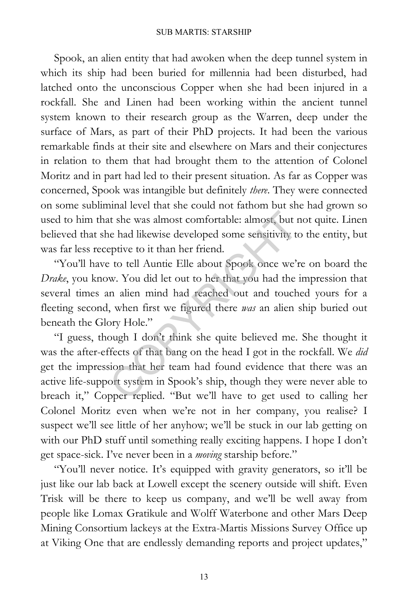Spook, an alien entity that had awoken when the deep tunnel system in which its ship had been buried for millennia had been disturbed, had latched onto the unconscious Copper when she had been injured in a rockfall. She and Linen had been working within the ancient tunnel system known to their research group as the Warren, deep under the surface of Mars, as part of their PhD projects. It had been the various remarkable finds at their site and elsewhere on Mars and their conjectures in relation to them that had brought them to the attention of Colonel Moritz and in part had led to their present situation. As far as Copper was concerned, Spook was intangible but definitely *there*. They were connected on some subliminal level that she could not fathom but she had grown so used to him that she was almost comfortable: almost, but not quite. Linen believed that she had likewise developed some sensitivity to the entity, but was far less receptive to it than her friend.

"You'll have to tell Auntie Elle about Spook once we're on board the *Drake*, you know. You did let out to her that you had the impression that several times an alien mind had reached out and touched yours for a fleeting second, when first we figured there *was* an alien ship buried out beneath the Glory Hole." t she was almost comfortable: almost, but r<br>le had likewise developed some sensitivity to<br>eptive to it than her friend.<br><br>to tell Auntie Elle about Spook once we't<br>w. You did let out to her that you had the<br>n alien mind had

"I guess, though I don't think she quite believed me. She thought it was the after-effects of that bang on the head I got in the rockfall. We *did* get the impression that her team had found evidence that there was an active life-support system in Spook's ship, though they were never able to breach it," Copper replied. "But we'll have to get used to calling her Colonel Moritz even when we're not in her company, you realise? I suspect we'll see little of her anyhow; we'll be stuck in our lab getting on with our PhD stuff until something really exciting happens. I hope I don't get space-sick. I've never been in a *moving* starship before."

"You'll never notice. It's equipped with gravity generators, so it'll be just like our lab back at Lowell except the scenery outside will shift. Even Trisk will be there to keep us company, and we'll be well away from people like Lomax Gratikule and Wolff Waterbone and other Mars Deep Mining Consortium lackeys at the Extra-Martis Missions Survey Office up at Viking One that are endlessly demanding reports and project updates,"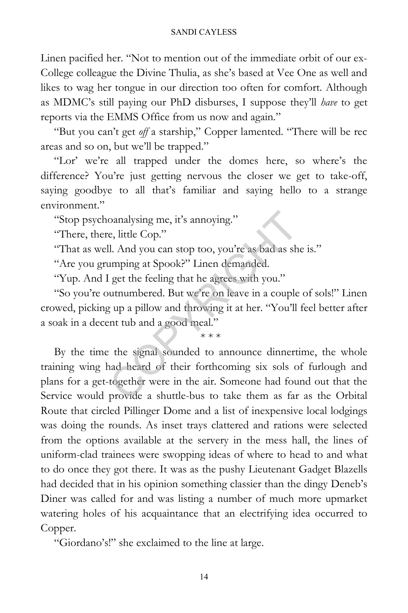Linen pacified her. "Not to mention out of the immediate orbit of our ex-College colleague the Divine Thulia, as she's based at Vee One as well and likes to wag her tongue in our direction too often for comfort. Although as MDMC's still paying our PhD disburses, I suppose they'll *have* to get reports via the EMMS Office from us now and again."

"But you can't get *off* a starship," Copper lamented. "There will be rec areas and so on, but we'll be trapped."

"Lor' we're all trapped under the domes here, so where's the difference? You're just getting nervous the closer we get to take-off, saying goodbye to all that's familiar and saying hello to a strange environment."

"Stop psychoanalysing me, it's annoying."

"There, there, little Cop."

"That as well. And you can stop too, you're as bad as she is."

"Are you grumping at Spook?" Linen demanded.

"Yup. And I get the feeling that he agrees with you."

"So you're outnumbered. But we're on leave in a couple of sols!" Linen crowed, picking up a pillow and throwing it at her. "You'll feel better after a soak in a decent tub and a good meal."

\* \* \*

By the time the signal sounded to announce dinnertime, the whole training wing had heard of their forthcoming six sols of furlough and plans for a get-together were in the air. Someone had found out that the Service would provide a shuttle-bus to take them as far as the Orbital Route that circled Pillinger Dome and a list of inexpensive local lodgings was doing the rounds. As inset trays clattered and rations were selected from the options available at the servery in the mess hall, the lines of uniform-clad trainees were swopping ideas of where to head to and what to do once they got there. It was as the pushy Lieutenant Gadget Blazells had decided that in his opinion something classier than the dingy Deneb's Diner was called for and was listing a number of much more upmarket watering holes of his acquaintance that an electrifying idea occurred to Copper. oanalysing me, it's annoying."<br>
e, little Cop."<br>
l. And you can stop too, you're as bad as sh<br>
imping at Spook?" Linen demanded.<br>
get the feeling that he agrees with you."<br>
uttnumbered. But we're on leave in a couple<br>
g up

"Giordano's!" she exclaimed to the line at large.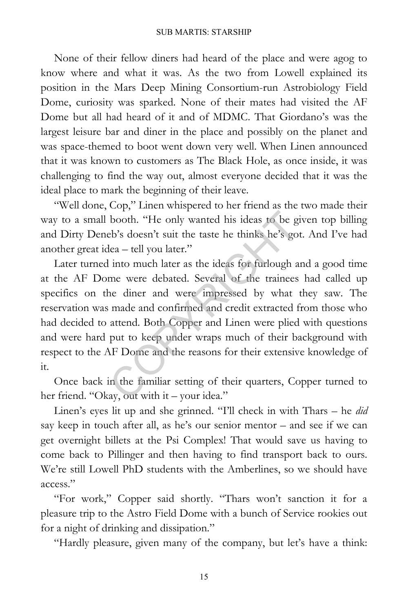None of their fellow diners had heard of the place and were agog to know where and what it was. As the two from Lowell explained its position in the Mars Deep Mining Consortium-run Astrobiology Field Dome, curiosity was sparked. None of their mates had visited the AF Dome but all had heard of it and of MDMC. That Giordano's was the largest leisure bar and diner in the place and possibly on the planet and was space-themed to boot went down very well. When Linen announced that it was known to customers as The Black Hole, as once inside, it was challenging to find the way out, almost everyone decided that it was the ideal place to mark the beginning of their leave.

"Well done, Cop," Linen whispered to her friend as the two made their way to a small booth. "He only wanted his ideas to be given top billing and Dirty Deneb's doesn't suit the taste he thinks he's got. And I've had another great idea – tell you later."

Later turned into much later as the ideas for furlough and a good time at the AF Dome were debated. Several of the trainees had called up specifics on the diner and were impressed by what they saw. The reservation was made and confirmed and credit extracted from those who had decided to attend. Both Copper and Linen were plied with questions and were hard put to keep under wraps much of their background with respect to the AF Dome and the reasons for their extensive knowledge of it. booth. "He only wanted his ideas to be g<br>bbcson't suit the taste he thinks he's go<br>lea – tell you later."<br>into much later as the ideas for furlough a<br>me were debated. Several of the trainees<br>ne diner and were impressed by

Once back in the familiar setting of their quarters, Copper turned to her friend. "Okay, out with it – your idea."

Linen's eyes lit up and she grinned. "I'll check in with Thars – he *did* say keep in touch after all, as he's our senior mentor – and see if we can get overnight billets at the Psi Complex! That would save us having to come back to Pillinger and then having to find transport back to ours. We're still Lowell PhD students with the Amberlines, so we should have access."

"For work," Copper said shortly. "Thars won't sanction it for a pleasure trip to the Astro Field Dome with a bunch of Service rookies out for a night of drinking and dissipation."

"Hardly pleasure, given many of the company, but let's have a think: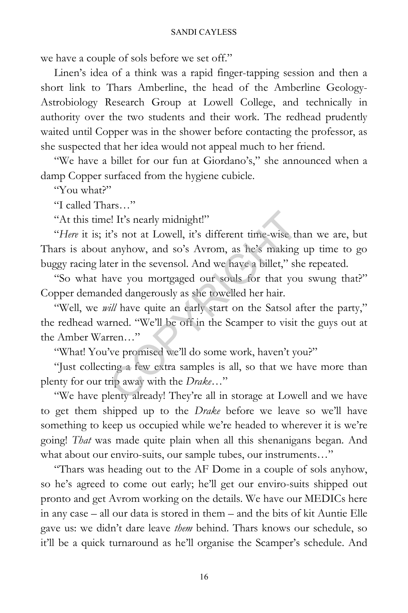we have a couple of sols before we set off."

Linen's idea of a think was a rapid finger-tapping session and then a short link to Thars Amberline, the head of the Amberline Geology-Astrobiology Research Group at Lowell College, and technically in authority over the two students and their work. The redhead prudently waited until Copper was in the shower before contacting the professor, as she suspected that her idea would not appeal much to her friend.

"We have a billet for our fun at Giordano's," she announced when a damp Copper surfaced from the hygiene cubicle.

"You what?"

"I called Thars…"

"At this time! It's nearly midnight!"

"*Here* it is; it's not at Lowell, it's different time-wise than we are, but Thars is about anyhow, and so's Avrom, as he's making up time to go buggy racing later in the sevensol. And we have a billet," she repeated.

"So what have you mortgaged our souls for that you swung that?" Copper demanded dangerously as she towelled her hair.

"Well, we *will* have quite an early start on the Satsol after the party," the redhead warned. "We'll be off in the Scamper to visit the guys out at the Amber Warren…" e! It's nearly midnight!"<br>t's not at Lowell, it's different time-wise the anyhow, and so's Avrom, as he's making<br>ter in the sevensol. And we have a billet," shave you mortgaged our souls for that you<br>ded dangerously as she

"What! You've promised we'll do some work, haven't you?"

"Just collecting a few extra samples is all, so that we have more than plenty for our trip away with the *Drake*…"

"We have plenty already! They're all in storage at Lowell and we have to get them shipped up to the *Drake* before we leave so we'll have something to keep us occupied while we're headed to wherever it is we're going! *That* was made quite plain when all this shenanigans began. And what about our enviro-suits, our sample tubes, our instruments…"

"Thars was heading out to the AF Dome in a couple of sols anyhow, so he's agreed to come out early; he'll get our enviro-suits shipped out pronto and get Avrom working on the details. We have our MEDICs here in any case – all our data is stored in them – and the bits of kit Auntie Elle gave us: we didn't dare leave *them* behind. Thars knows our schedule, so it'll be a quick turnaround as he'll organise the Scamper's schedule. And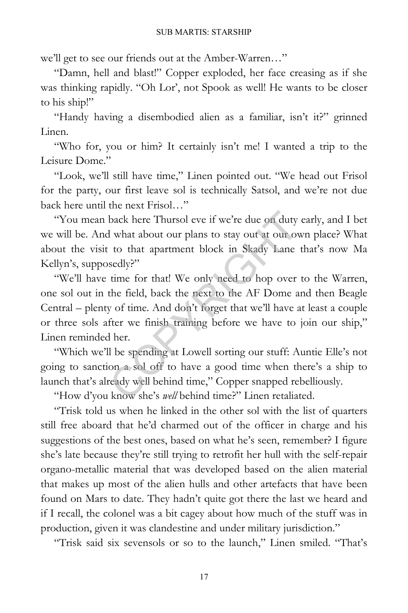we'll get to see our friends out at the Amber-Warren…"

"Damn, hell and blast!" Copper exploded, her face creasing as if she was thinking rapidly. "Oh Lor', not Spook as well! He wants to be closer to his ship!"

"Handy having a disembodied alien as a familiar, isn't it?" grinned Linen.

"Who for, you or him? It certainly isn't me! I wanted a trip to the Leisure Dome."

"Look, we'll still have time," Linen pointed out. "We head out Frisol for the party, our first leave sol is technically Satsol, and we're not due back here until the next Frisol…"

"You mean back here Thursol eve if we're due on duty early, and I bet we will be. And what about our plans to stay out at our own place? What about the visit to that apartment block in Skady Lane that's now Ma Kellyn's, supposedly?"

"We'll have time for that! We only need to hop over to the Warren, one sol out in the field, back the next to the AF Dome and then Beagle Central – plenty of time. And don't forget that we'll have at least a couple or three sols after we finish training before we have to join our ship," Linen reminded her. back here Thursol eve if we're due on duty<br>I what about our plans to stay out at our ov<br>to that apartment block in Skady Lane<br>sedly?"<br>time for that! We only need to hop over<br>the field, back the next to the AF Dome a<br>y of t

"Which we'll be spending at Lowell sorting our stuff: Auntie Elle's not going to sanction a sol off to have a good time when there's a ship to launch that's already well behind time," Copper snapped rebelliously.

"How d'you know she's *well* behind time?" Linen retaliated.

"Trisk told us when he linked in the other sol with the list of quarters still free aboard that he'd charmed out of the officer in charge and his suggestions of the best ones, based on what he's seen, remember? I figure she's late because they're still trying to retrofit her hull with the self-repair organo-metallic material that was developed based on the alien material that makes up most of the alien hulls and other artefacts that have been found on Mars to date. They hadn't quite got there the last we heard and if I recall, the colonel was a bit cagey about how much of the stuff was in production, given it was clandestine and under military jurisdiction."

"Trisk said six sevensols or so to the launch," Linen smiled. "That's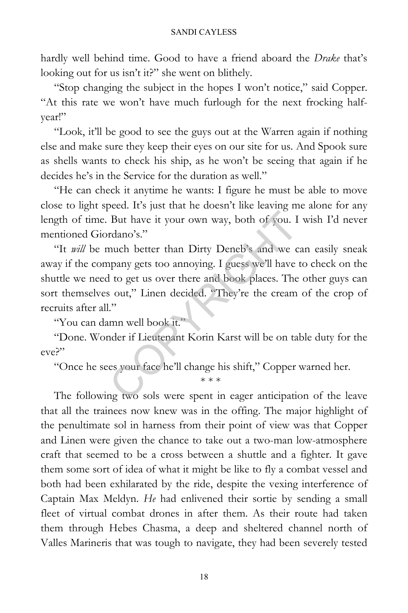hardly well behind time. Good to have a friend aboard the *Drake* that's looking out for us isn't it?" she went on blithely.

"Stop changing the subject in the hopes I won't notice," said Copper. "At this rate we won't have much furlough for the next frocking halfyear!"

"Look, it'll be good to see the guys out at the Warren again if nothing else and make sure they keep their eyes on our site for us. And Spook sure as shells wants to check his ship, as he won't be seeing that again if he decides he's in the Service for the duration as well."

"He can check it anytime he wants: I figure he must be able to move close to light speed. It's just that he doesn't like leaving me alone for any length of time. But have it your own way, both of you. I wish I'd never mentioned Giordano's."

"It *will* be much better than Dirty Deneb's and we can easily sneak away if the company gets too annoying. I guess we'll have to check on the shuttle we need to get us over there and book places. The other guys can sort themselves out," Linen decided. "They're the cream of the crop of recruits after all." But have it your own way, both of you. I<br>rdano's."<br>much better than Dirty Deneb's and we c<br>pany gets too annoying. I guess we'll have<br>l to get us over there and book places. The<br>s out," Linen decided. "They're the cream<br>"<br>

"You can damn well book it."

"Done. Wonder if Lieutenant Korin Karst will be on table duty for the eve?"

"Once he sees your face he'll change his shift," Copper warned her.

\* \* \*

The following two sols were spent in eager anticipation of the leave that all the trainees now knew was in the offing. The major highlight of the penultimate sol in harness from their point of view was that Copper and Linen were given the chance to take out a two-man low-atmosphere craft that seemed to be a cross between a shuttle and a fighter. It gave them some sort of idea of what it might be like to fly a combat vessel and both had been exhilarated by the ride, despite the vexing interference of Captain Max Meldyn. *He* had enlivened their sortie by sending a small fleet of virtual combat drones in after them. As their route had taken them through Hebes Chasma, a deep and sheltered channel north of Valles Marineris that was tough to navigate, they had been severely tested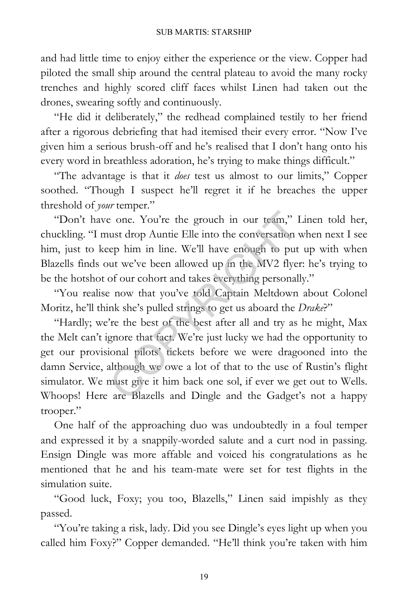and had little time to enjoy either the experience or the view. Copper had piloted the small ship around the central plateau to avoid the many rocky trenches and highly scored cliff faces whilst Linen had taken out the drones, swearing softly and continuously.

"He did it deliberately," the redhead complained testily to her friend after a rigorous debriefing that had itemised their every error. "Now I've given him a serious brush-off and he's realised that I don't hang onto his every word in breathless adoration, he's trying to make things difficult."

"The advantage is that it *does* test us almost to our limits," Copper soothed. "Though I suspect he'll regret it if he breaches the upper threshold of *your* temper."

"Don't have one. You're the grouch in our team," Linen told her, chuckling. "I must drop Auntie Elle into the conversation when next I see him, just to keep him in line. We'll have enough to put up with when Blazells finds out we've been allowed up in the MV2 flyer: he's trying to be the hotshot of our cohort and takes everything personally."

"You realise now that you've told Captain Meltdown about Colonel Moritz, he'll think she's pulled strings to get us aboard the *Drake*?"

"Hardly; we're the best of the best after all and try as he might, Max the Melt can't ignore that fact. We're just lucky we had the opportunity to get our provisional pilots' tickets before we were dragooned into the damn Service, although we owe a lot of that to the use of Rustin's flight simulator. We must give it him back one sol, if ever we get out to Wells. Whoops! Here are Blazells and Dingle and the Gadget's not a happy trooper." e one. You're the grouch in our team," 1<br>ust drop Auntie Elle into the conversation rep him in line. We'll have enough to put<br>ut we've been allowed up in the MV2 flyes<br>of our cohort and takes everything personal<br>e now that

One half of the approaching duo was undoubtedly in a foul temper and expressed it by a snappily-worded salute and a curt nod in passing. Ensign Dingle was more affable and voiced his congratulations as he mentioned that he and his team-mate were set for test flights in the simulation suite.

"Good luck, Foxy; you too, Blazells," Linen said impishly as they passed.

"You're taking a risk, lady. Did you see Dingle's eyes light up when you called him Foxy?" Copper demanded. "He'll think you're taken with him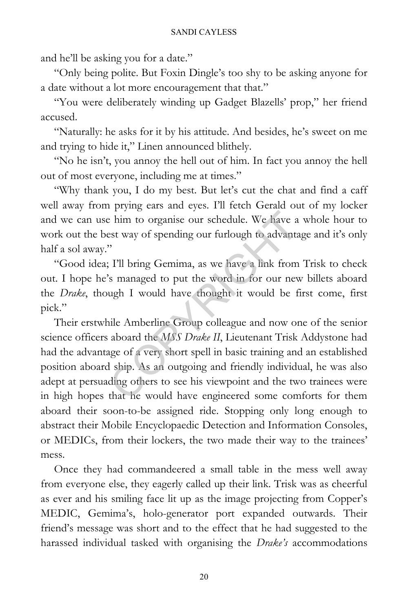and he'll be asking you for a date."

"Only being polite. But Foxin Dingle's too shy to be asking anyone for a date without a lot more encouragement that that."

"You were deliberately winding up Gadget Blazells' prop," her friend accused.

"Naturally: he asks for it by his attitude. And besides, he's sweet on me and trying to hide it," Linen announced blithely.

"No he isn't, you annoy the hell out of him. In fact you annoy the hell out of most everyone, including me at times."

"Why thank you, I do my best. But let's cut the chat and find a caff well away from prying ears and eyes. I'll fetch Gerald out of my locker and we can use him to organise our schedule. We have a whole hour to work out the best way of spending our furlough to advantage and it's only half a sol away."

"Good idea; I'll bring Gemima, as we have a link from Trisk to check out. I hope he's managed to put the word in for our new billets aboard the *Drake*, though I would have thought it would be first come, first pick."

Their erstwhile Amberline Group colleague and now one of the senior science officers aboard the *MSS Drake II*, Lieutenant Trisk Addystone had had the advantage of a very short spell in basic training and an established position aboard ship. As an outgoing and friendly individual, he was also adept at persuading others to see his viewpoint and the two trainees were in high hopes that he would have engineered some comforts for them aboard their soon-to-be assigned ride. Stopping only long enough to abstract their Mobile Encyclopaedic Detection and Information Consoles, or MEDICs, from their lockers, the two made their way to the trainees' mess. The internal our schedule. We have a<br>test way of spending our furlough to advanta<br>"<br>"<br>I'll bring Gemima, as we have a link from<br>"<br>"<br>s managed to put the word in for our new<br>ugh I would have thought it would be f<br>nile Amber

Once they had commandeered a small table in the mess well away from everyone else, they eagerly called up their link. Trisk was as cheerful as ever and his smiling face lit up as the image projecting from Copper's MEDIC, Gemima's, holo-generator port expanded outwards. Their friend's message was short and to the effect that he had suggested to the harassed individual tasked with organising the *Drake's* accommodations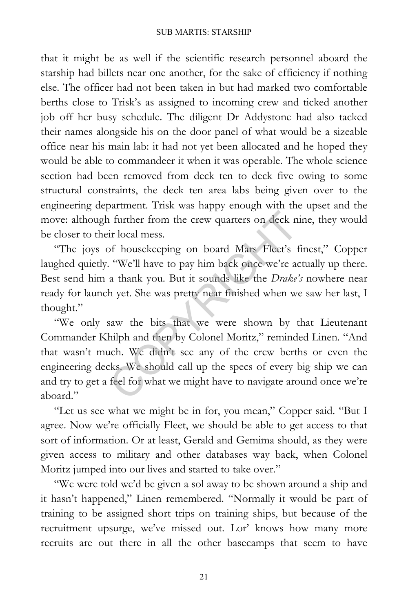that it might be as well if the scientific research personnel aboard the starship had billets near one another, for the sake of efficiency if nothing else. The officer had not been taken in but had marked two comfortable berths close to Trisk's as assigned to incoming crew and ticked another job off her busy schedule. The diligent Dr Addystone had also tacked their names alongside his on the door panel of what would be a sizeable office near his main lab: it had not yet been allocated and he hoped they would be able to commandeer it when it was operable. The whole science section had been removed from deck ten to deck five owing to some structural constraints, the deck ten area labs being given over to the engineering department. Trisk was happy enough with the upset and the move: although further from the crew quarters on deck nine, they would be closer to their local mess.

"The joys of housekeeping on board Mars Fleet's finest," Copper laughed quietly. "We'll have to pay him back once we're actually up there. Best send him a thank you. But it sounds like the *Drake's* nowhere near ready for launch yet. She was pretty near finished when we saw her last, I thought."

"We only saw the bits that we were shown by that Lieutenant Commander Khilph and then by Colonel Moritz," reminded Linen. "And that wasn't much. We didn't see any of the crew berths or even the engineering decks. We should call up the specs of every big ship we can and try to get a feel for what we might have to navigate around once we're aboard." It further from the crew quarters on deck n<br>ir local mess.<br>Of housekeeping on board Mars Fleet's f<br>"We'll have to pay him back once we're at<br>a thank you. But it sounds like the *Drake'*<br>h yet. She was pretty near finished

"Let us see what we might be in for, you mean," Copper said. "But I agree. Now we're officially Fleet, we should be able to get access to that sort of information. Or at least, Gerald and Gemima should, as they were given access to military and other databases way back, when Colonel Moritz jumped into our lives and started to take over."

"We were told we'd be given a sol away to be shown around a ship and it hasn't happened," Linen remembered. "Normally it would be part of training to be assigned short trips on training ships, but because of the recruitment upsurge, we've missed out. Lor' knows how many more recruits are out there in all the other basecamps that seem to have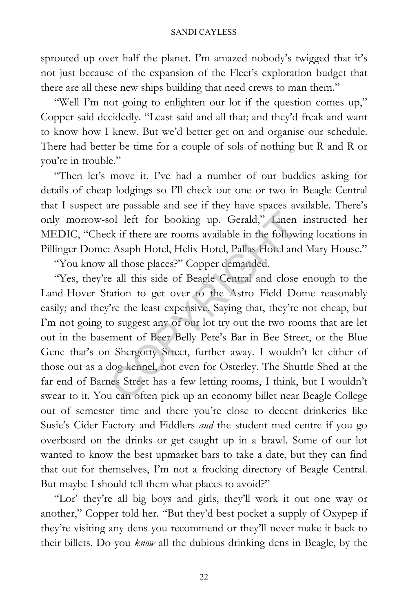sprouted up over half the planet. I'm amazed nobody's twigged that it's not just because of the expansion of the Fleet's exploration budget that there are all these new ships building that need crews to man them."

"Well I'm not going to enlighten our lot if the question comes up," Copper said decidedly. "Least said and all that; and they'd freak and want to know how I knew. But we'd better get on and organise our schedule. There had better be time for a couple of sols of nothing but R and R or you're in trouble."

"Then let's move it. I've had a number of our buddies asking for details of cheap lodgings so I'll check out one or two in Beagle Central that I suspect are passable and see if they have spaces available. There's only morrow-sol left for booking up. Gerald," Linen instructed her MEDIC, "Check if there are rooms available in the following locations in Pillinger Dome: Asaph Hotel, Helix Hotel, Pallas Hotel and Mary House."

"You know all those places?" Copper demanded.

"Yes, they're all this side of Beagle Central and close enough to the Land-Hover Station to get over to the Astro Field Dome reasonably easily; and they're the least expensive. Saying that, they're not cheap, but I'm not going to suggest any of our lot try out the two rooms that are let out in the basement of Beer Belly Pete's Bar in Bee Street, or the Blue Gene that's on Shergotty Street, further away. I wouldn't let either of those out as a dog kennel, not even for Osterley. The Shuttle Shed at the far end of Barnes Street has a few letting rooms, I think, but I wouldn't swear to it. You can often pick up an economy billet near Beagle College out of semester time and there you're close to decent drinkeries like Susie's Cider Factory and Fiddlers *and* the student med centre if you go overboard on the drinks or get caught up in a brawl. Some of our lot wanted to know the best upmarket bars to take a date, but they can find that out for themselves, I'm not a frocking directory of Beagle Central. But maybe I should tell them what places to avoid?" ol left for booking up. Gerald," Linen<br>ck if there are rooms available in the follow<br>: Asaph Hotel, Helix Hotel, Pallas Hotel and<br>all those places?" Copper demanded.<br>e all this side of Beagle Central and close<br>ation to get

"Lor' they're all big boys and girls, they'll work it out one way or another," Copper told her. "But they'd best pocket a supply of Oxypep if they're visiting any dens you recommend or they'll never make it back to their billets. Do you *know* all the dubious drinking dens in Beagle, by the